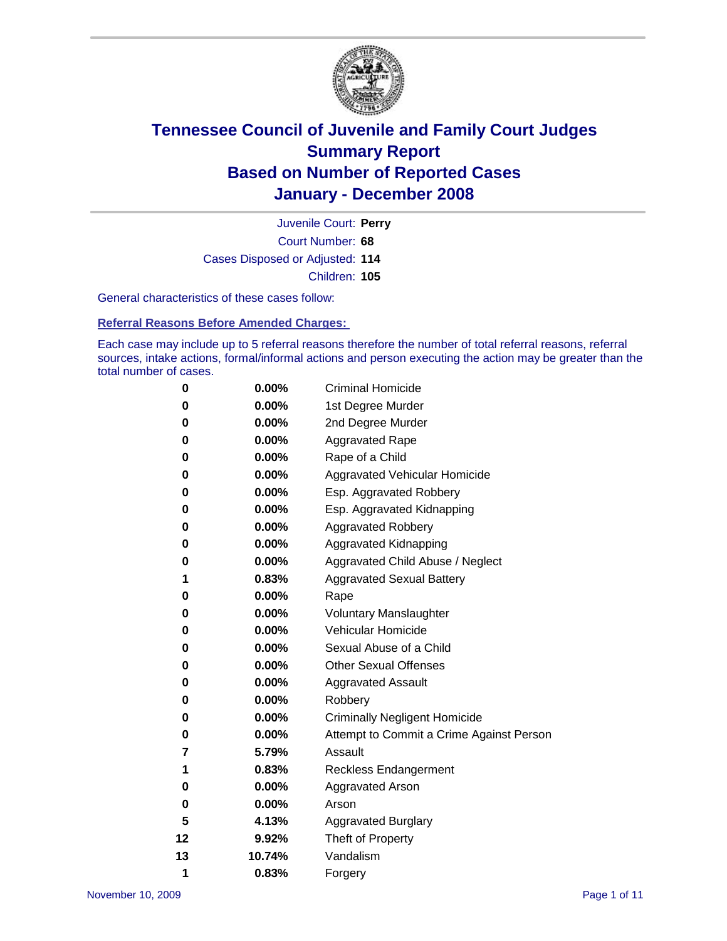

Court Number: **68** Juvenile Court: **Perry** Cases Disposed or Adjusted: **114** Children: **105**

General characteristics of these cases follow:

**Referral Reasons Before Amended Charges:** 

Each case may include up to 5 referral reasons therefore the number of total referral reasons, referral sources, intake actions, formal/informal actions and person executing the action may be greater than the total number of cases.

| 0  | 0.00%    | <b>Criminal Homicide</b>                 |
|----|----------|------------------------------------------|
| 0  | 0.00%    | 1st Degree Murder                        |
| 0  | $0.00\%$ | 2nd Degree Murder                        |
| 0  | 0.00%    | <b>Aggravated Rape</b>                   |
| 0  | 0.00%    | Rape of a Child                          |
| 0  | 0.00%    | Aggravated Vehicular Homicide            |
| 0  | 0.00%    | Esp. Aggravated Robbery                  |
| 0  | 0.00%    | Esp. Aggravated Kidnapping               |
| 0  | 0.00%    | <b>Aggravated Robbery</b>                |
| 0  | 0.00%    | Aggravated Kidnapping                    |
| 0  | 0.00%    | Aggravated Child Abuse / Neglect         |
| 1  | 0.83%    | <b>Aggravated Sexual Battery</b>         |
| 0  | 0.00%    | Rape                                     |
| 0  | 0.00%    | <b>Voluntary Manslaughter</b>            |
| 0  | 0.00%    | Vehicular Homicide                       |
| 0  | 0.00%    | Sexual Abuse of a Child                  |
| 0  | 0.00%    | <b>Other Sexual Offenses</b>             |
| 0  | 0.00%    | <b>Aggravated Assault</b>                |
| 0  | $0.00\%$ | Robbery                                  |
| 0  | 0.00%    | <b>Criminally Negligent Homicide</b>     |
| 0  | 0.00%    | Attempt to Commit a Crime Against Person |
| 7  | 5.79%    | Assault                                  |
| 1  | 0.83%    | <b>Reckless Endangerment</b>             |
| 0  | 0.00%    | <b>Aggravated Arson</b>                  |
| 0  | 0.00%    | Arson                                    |
| 5  | 4.13%    | <b>Aggravated Burglary</b>               |
| 12 | 9.92%    | Theft of Property                        |
| 13 | 10.74%   | Vandalism                                |
| 1  | 0.83%    | Forgery                                  |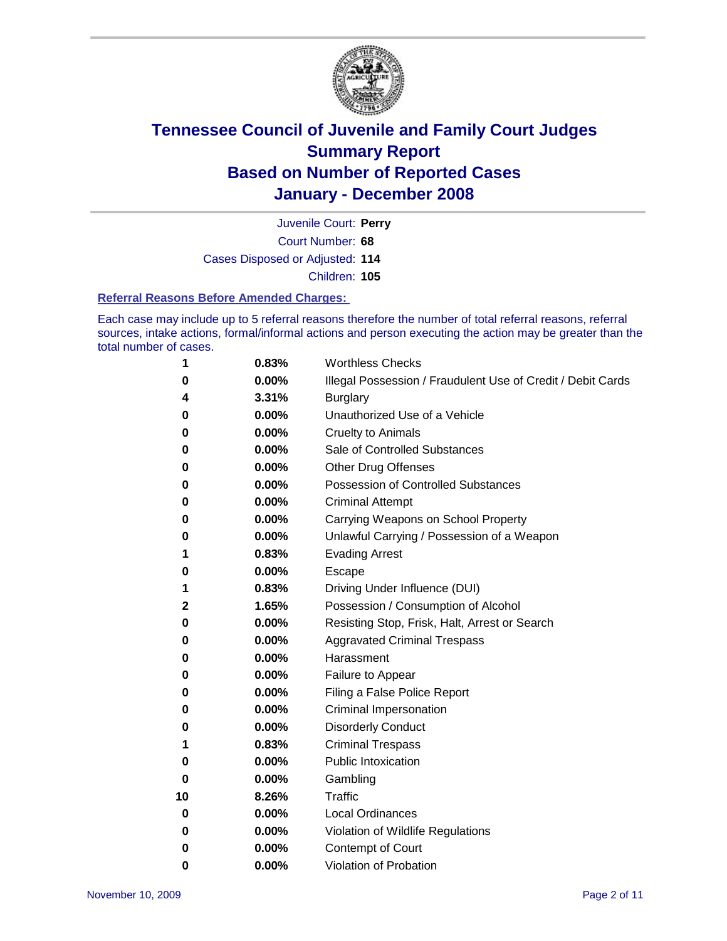

Court Number: **68** Juvenile Court: **Perry** Cases Disposed or Adjusted: **114** Children: **105**

#### **Referral Reasons Before Amended Charges:**

Each case may include up to 5 referral reasons therefore the number of total referral reasons, referral sources, intake actions, formal/informal actions and person executing the action may be greater than the total number of cases.

| 1  | 0.83%    | <b>Worthless Checks</b>                                     |
|----|----------|-------------------------------------------------------------|
| 0  | 0.00%    | Illegal Possession / Fraudulent Use of Credit / Debit Cards |
| 4  | 3.31%    | <b>Burglary</b>                                             |
| 0  | 0.00%    | Unauthorized Use of a Vehicle                               |
| 0  | 0.00%    | <b>Cruelty to Animals</b>                                   |
| 0  | 0.00%    | Sale of Controlled Substances                               |
| 0  | 0.00%    | <b>Other Drug Offenses</b>                                  |
| 0  | 0.00%    | Possession of Controlled Substances                         |
| 0  | 0.00%    | <b>Criminal Attempt</b>                                     |
| 0  | 0.00%    | Carrying Weapons on School Property                         |
| 0  | 0.00%    | Unlawful Carrying / Possession of a Weapon                  |
| 1  | 0.83%    | <b>Evading Arrest</b>                                       |
| 0  | 0.00%    | Escape                                                      |
| 1  | 0.83%    | Driving Under Influence (DUI)                               |
| 2  | 1.65%    | Possession / Consumption of Alcohol                         |
| 0  | 0.00%    | Resisting Stop, Frisk, Halt, Arrest or Search               |
| 0  | $0.00\%$ | <b>Aggravated Criminal Trespass</b>                         |
| 0  | 0.00%    | Harassment                                                  |
| 0  | 0.00%    | Failure to Appear                                           |
| 0  | 0.00%    | Filing a False Police Report                                |
| 0  | 0.00%    | Criminal Impersonation                                      |
| 0  | $0.00\%$ | <b>Disorderly Conduct</b>                                   |
| 1  | 0.83%    | <b>Criminal Trespass</b>                                    |
| 0  | 0.00%    | <b>Public Intoxication</b>                                  |
| 0  | 0.00%    | Gambling                                                    |
| 10 | 8.26%    | <b>Traffic</b>                                              |
| 0  | $0.00\%$ | <b>Local Ordinances</b>                                     |
| 0  | 0.00%    | Violation of Wildlife Regulations                           |
| 0  | 0.00%    | Contempt of Court                                           |
| 0  | 0.00%    | Violation of Probation                                      |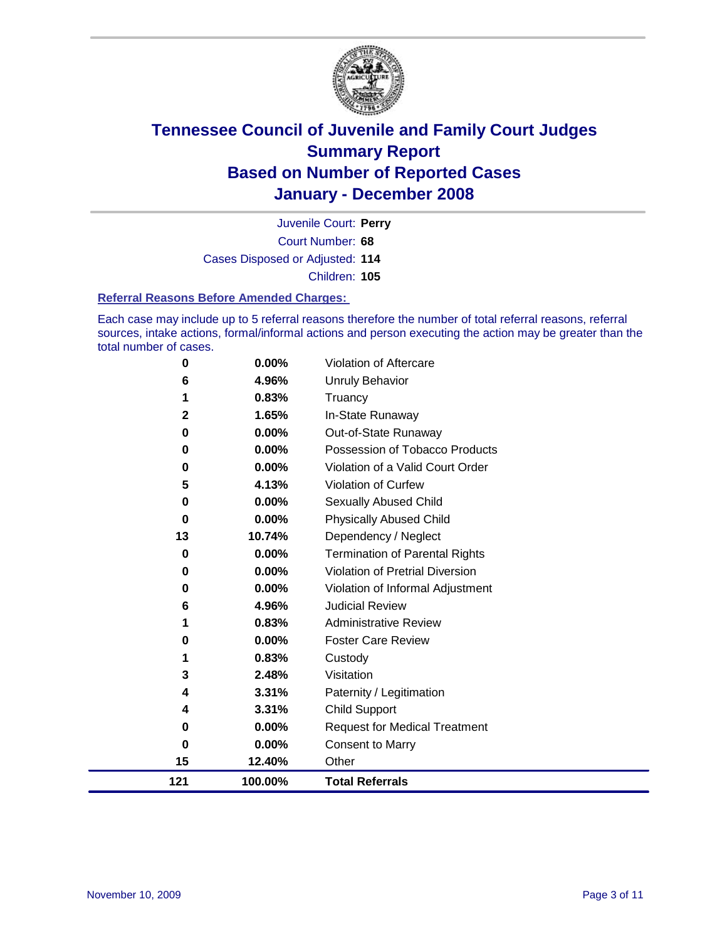

Court Number: **68** Juvenile Court: **Perry** Cases Disposed or Adjusted: **114** Children: **105**

#### **Referral Reasons Before Amended Charges:**

Each case may include up to 5 referral reasons therefore the number of total referral reasons, referral sources, intake actions, formal/informal actions and person executing the action may be greater than the total number of cases.

| 0            | 0.00%   | Violation of Aftercare                 |
|--------------|---------|----------------------------------------|
| 6            | 4.96%   | <b>Unruly Behavior</b>                 |
| 1            | 0.83%   | Truancy                                |
| $\mathbf{2}$ | 1.65%   | In-State Runaway                       |
| 0            | 0.00%   | Out-of-State Runaway                   |
| 0            | 0.00%   | Possession of Tobacco Products         |
| 0            | 0.00%   | Violation of a Valid Court Order       |
| 5            | 4.13%   | Violation of Curfew                    |
| 0            | 0.00%   | Sexually Abused Child                  |
| 0            | 0.00%   | <b>Physically Abused Child</b>         |
| 13           | 10.74%  | Dependency / Neglect                   |
| 0            | 0.00%   | <b>Termination of Parental Rights</b>  |
| 0            | 0.00%   | <b>Violation of Pretrial Diversion</b> |
| 0            | 0.00%   | Violation of Informal Adjustment       |
| 6            | 4.96%   | <b>Judicial Review</b>                 |
| 1            | 0.83%   | <b>Administrative Review</b>           |
| 0            | 0.00%   | <b>Foster Care Review</b>              |
| 1            | 0.83%   | Custody                                |
| 3            | 2.48%   | Visitation                             |
| 4            | 3.31%   | Paternity / Legitimation               |
| 4            | 3.31%   | <b>Child Support</b>                   |
| 0            | 0.00%   | <b>Request for Medical Treatment</b>   |
| 0            | 0.00%   | <b>Consent to Marry</b>                |
| 15           | 12.40%  | Other                                  |
| 121          | 100.00% | <b>Total Referrals</b>                 |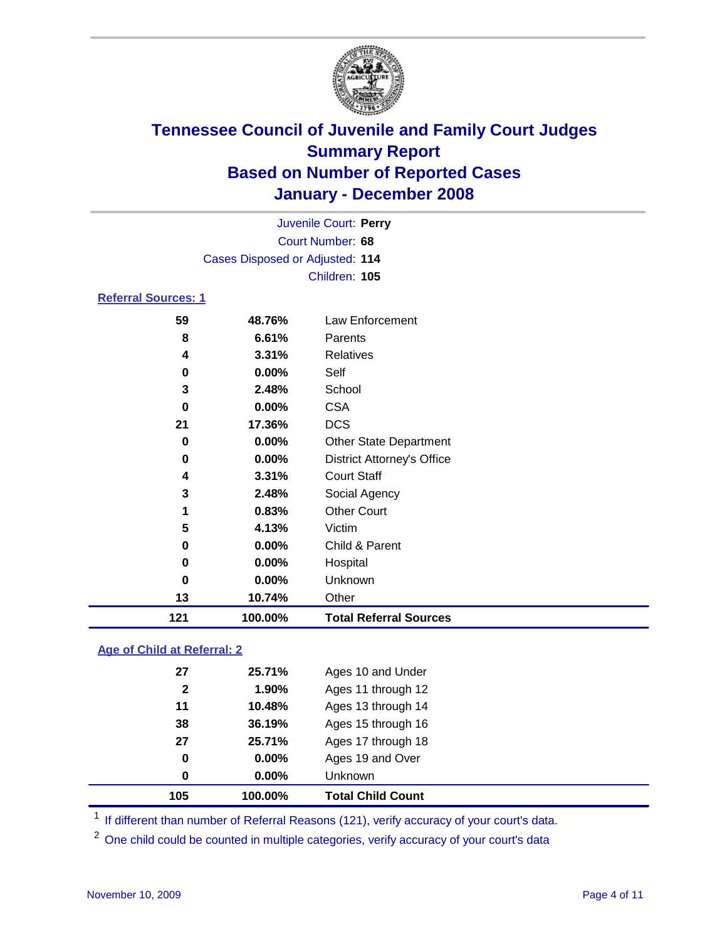

|                                 |               | Juvenile Court: Perry             |  |  |  |  |
|---------------------------------|---------------|-----------------------------------|--|--|--|--|
| Court Number: 68                |               |                                   |  |  |  |  |
| Cases Disposed or Adjusted: 114 |               |                                   |  |  |  |  |
|                                 | Children: 105 |                                   |  |  |  |  |
| <b>Referral Sources: 1</b>      |               |                                   |  |  |  |  |
| 59                              | 48.76%        | Law Enforcement                   |  |  |  |  |
| 8                               | 6.61%         | Parents                           |  |  |  |  |
| 4                               | $3.31\%$      | <b>Relatives</b>                  |  |  |  |  |
| 0                               | $0.00\%$      | Self                              |  |  |  |  |
| 3                               | 2.48%         | School                            |  |  |  |  |
| 0                               | $0.00\%$      | <b>CSA</b>                        |  |  |  |  |
| 21                              | 17.36%        | <b>DCS</b>                        |  |  |  |  |
| 0                               | $0.00\%$      | <b>Other State Department</b>     |  |  |  |  |
| 0                               | $0.00\%$      | <b>District Attorney's Office</b> |  |  |  |  |

| 121 | 100.00%        | <b>Total Referral Sources</b> |
|-----|----------------|-------------------------------|
| 13  | 10.74%         | Other                         |
| 0   | 0.00%          | Unknown                       |
| 0   | 0.00%          | Hospital                      |
| 0   | 0.00%          | Child & Parent                |
| 5   | 4.13%          | Victim                        |
| 1   | 0.83%          | <b>Other Court</b>            |
| 3   | 2.48%          | Social Agency                 |
| 4   | 3.31%          | <b>Court Staff</b>            |
| v   | <b>V.VV</b> /0 | <b>DISTINE ARRIVERS</b> OTHER |

### **Age of Child at Referral: 2**

| 105          | 100.00%  | <b>Total Child Count</b> |
|--------------|----------|--------------------------|
| 0            | $0.00\%$ | Unknown                  |
| 0            | $0.00\%$ | Ages 19 and Over         |
| 27           | 25.71%   | Ages 17 through 18       |
| 38           | 36.19%   | Ages 15 through 16       |
| 11           | 10.48%   | Ages 13 through 14       |
| $\mathbf{2}$ | 1.90%    | Ages 11 through 12       |
| 27           | 25.71%   | Ages 10 and Under        |
|              |          |                          |

<sup>1</sup> If different than number of Referral Reasons (121), verify accuracy of your court's data.

<sup>2</sup> One child could be counted in multiple categories, verify accuracy of your court's data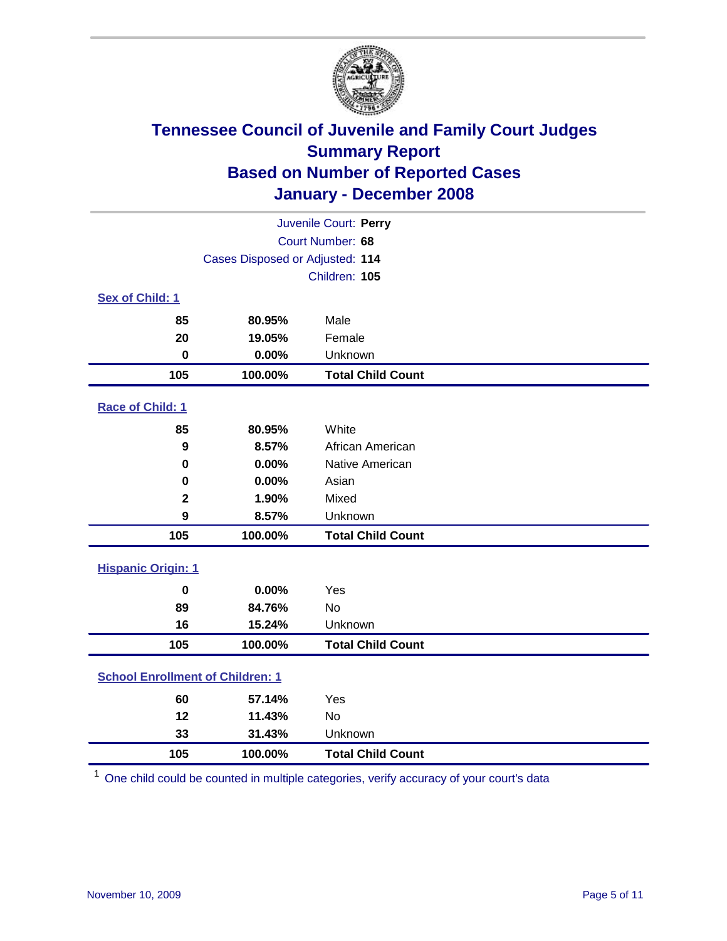

| Juvenile Court: Perry                   |                                 |                          |  |  |  |
|-----------------------------------------|---------------------------------|--------------------------|--|--|--|
| Court Number: 68                        |                                 |                          |  |  |  |
|                                         | Cases Disposed or Adjusted: 114 |                          |  |  |  |
|                                         | Children: 105                   |                          |  |  |  |
| Sex of Child: 1                         |                                 |                          |  |  |  |
| 85                                      | 80.95%                          | Male                     |  |  |  |
| 20                                      | 19.05%                          | Female                   |  |  |  |
| $\bf{0}$                                | 0.00%                           | Unknown                  |  |  |  |
| 105                                     | 100.00%                         | <b>Total Child Count</b> |  |  |  |
| <b>Race of Child: 1</b>                 |                                 |                          |  |  |  |
| 85                                      | 80.95%                          | White                    |  |  |  |
| $\boldsymbol{9}$                        | 8.57%                           | African American         |  |  |  |
| $\bf{0}$                                | 0.00%                           | Native American          |  |  |  |
| 0                                       | 0.00%                           | Asian                    |  |  |  |
| $\mathbf 2$                             | 1.90%                           | Mixed                    |  |  |  |
| 9                                       | 8.57%                           | Unknown                  |  |  |  |
| 105                                     | 100.00%                         | <b>Total Child Count</b> |  |  |  |
| <b>Hispanic Origin: 1</b>               |                                 |                          |  |  |  |
| $\mathbf 0$                             | 0.00%                           | Yes                      |  |  |  |
| 89                                      | 84.76%                          | <b>No</b>                |  |  |  |
| 16                                      | 15.24%                          | Unknown                  |  |  |  |
| 105                                     | 100.00%                         | <b>Total Child Count</b> |  |  |  |
| <b>School Enrollment of Children: 1</b> |                                 |                          |  |  |  |
| 60                                      | 57.14%                          | Yes                      |  |  |  |
| 12                                      | 11.43%                          | <b>No</b>                |  |  |  |
| 33                                      | 31.43%                          | Unknown                  |  |  |  |
| 105                                     | 100.00%                         | <b>Total Child Count</b> |  |  |  |

One child could be counted in multiple categories, verify accuracy of your court's data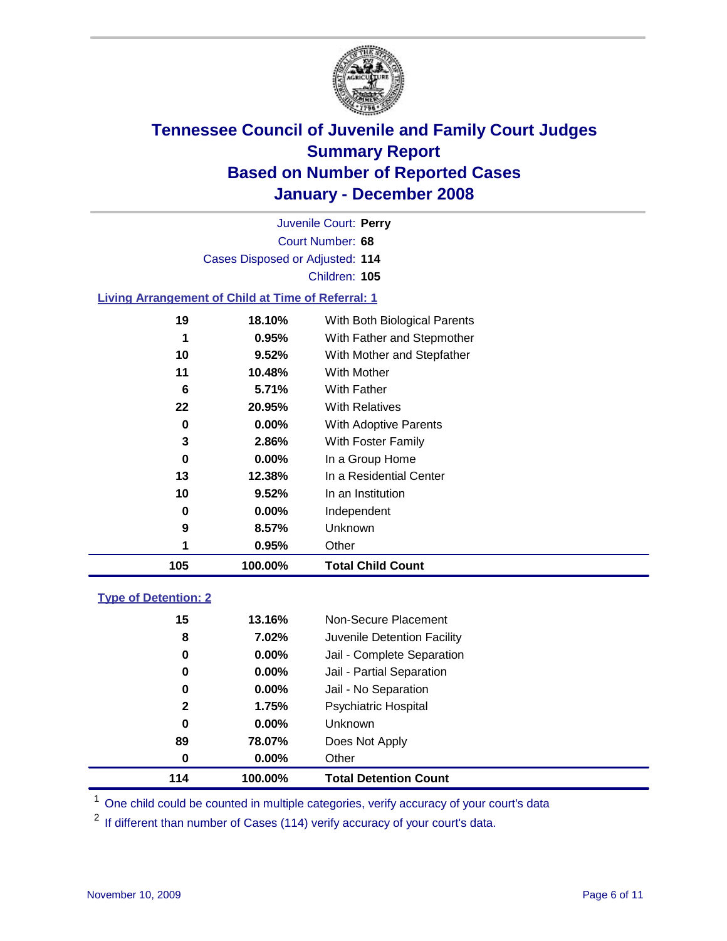

|    | Juvenile Court: Perry                                     |                              |
|----|-----------------------------------------------------------|------------------------------|
|    | Court Number: 68                                          |                              |
|    | Cases Disposed or Adjusted: 114                           |                              |
|    | Children: 105                                             |                              |
|    | <b>Living Arrangement of Child at Time of Referral: 1</b> |                              |
| 19 | <b>18.10%</b>                                             | With Both Biological Parents |

| 105 | 100.00%  | <b>Total Child Count</b>     |
|-----|----------|------------------------------|
|     | 0.95%    | Other                        |
| 9   | 8.57%    | Unknown                      |
| 0   | $0.00\%$ | Independent                  |
| 10  | 9.52%    | In an Institution            |
| 13  | 12.38%   | In a Residential Center      |
| 0   | $0.00\%$ | In a Group Home              |
| 3   | 2.86%    | With Foster Family           |
| 0   | $0.00\%$ | With Adoptive Parents        |
| 22  | 20.95%   | <b>With Relatives</b>        |
| 6   | 5.71%    | With Father                  |
| 11  | 10.48%   | <b>With Mother</b>           |
| 10  | 9.52%    | With Mother and Stepfather   |
| 1   | 0.95%    | With Father and Stepmother   |
| 19  | 18.10%   | With Both Biological Parents |

#### **Type of Detention: 2**

| 89<br>$\bf{0}$ | 78.07%<br>$0.00\%$ | Does Not Apply<br>Other     |  |
|----------------|--------------------|-----------------------------|--|
|                |                    |                             |  |
|                |                    |                             |  |
| 0              | $0.00\%$           | <b>Unknown</b>              |  |
| $\mathbf{2}$   | 1.75%              | <b>Psychiatric Hospital</b> |  |
| 0              | 0.00%              | Jail - No Separation        |  |
| 0              | $0.00\%$           | Jail - Partial Separation   |  |
| 0              | 0.00%              | Jail - Complete Separation  |  |
| 8              | 7.02%              | Juvenile Detention Facility |  |
| 15             | 13.16%             | Non-Secure Placement        |  |
|                |                    |                             |  |

<sup>1</sup> One child could be counted in multiple categories, verify accuracy of your court's data

<sup>2</sup> If different than number of Cases (114) verify accuracy of your court's data.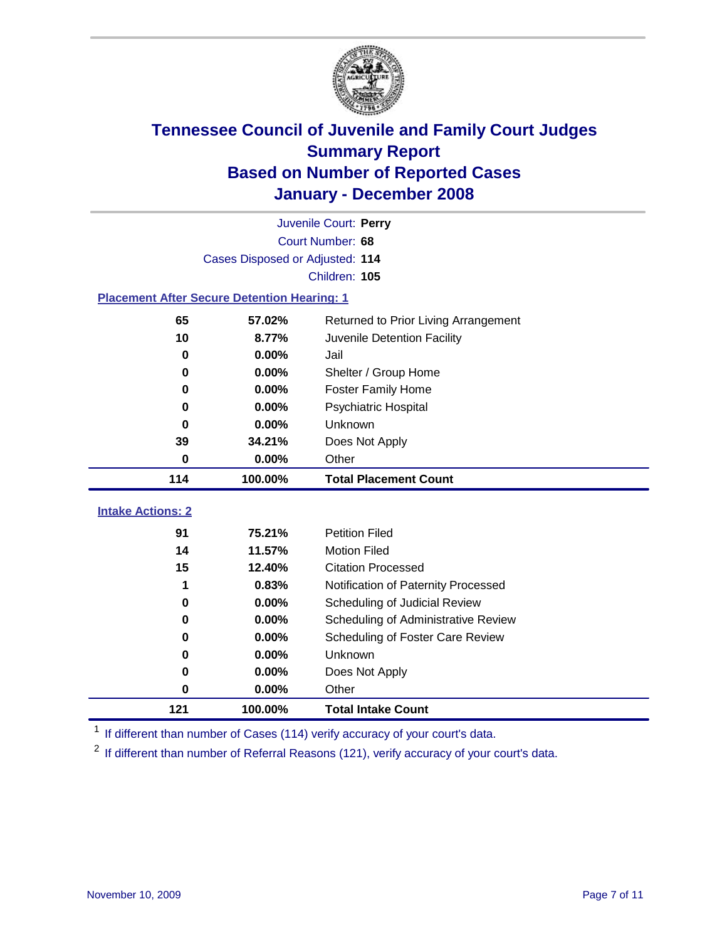

|                                                    | Juvenile Court: Perry           |                                      |  |  |  |
|----------------------------------------------------|---------------------------------|--------------------------------------|--|--|--|
|                                                    | Court Number: 68                |                                      |  |  |  |
|                                                    | Cases Disposed or Adjusted: 114 |                                      |  |  |  |
|                                                    |                                 | Children: 105                        |  |  |  |
| <b>Placement After Secure Detention Hearing: 1</b> |                                 |                                      |  |  |  |
| 65                                                 | 57.02%                          | Returned to Prior Living Arrangement |  |  |  |
| 10                                                 | 8.77%                           | Juvenile Detention Facility          |  |  |  |
| $\bf{0}$                                           | 0.00%                           | Jail                                 |  |  |  |
| 0                                                  | 0.00%                           | Shelter / Group Home                 |  |  |  |
| $\bf{0}$                                           | 0.00%                           | <b>Foster Family Home</b>            |  |  |  |
| 0                                                  | 0.00%                           | Psychiatric Hospital                 |  |  |  |
| 0                                                  | 0.00%                           | Unknown                              |  |  |  |
| 39                                                 | 34.21%                          | Does Not Apply                       |  |  |  |
| $\bf{0}$                                           | 0.00%                           | Other                                |  |  |  |
|                                                    |                                 |                                      |  |  |  |
| 114                                                | 100.00%                         | <b>Total Placement Count</b>         |  |  |  |
| <b>Intake Actions: 2</b>                           |                                 |                                      |  |  |  |
| 91                                                 | 75.21%                          | <b>Petition Filed</b>                |  |  |  |
| 14                                                 | 11.57%                          | <b>Motion Filed</b>                  |  |  |  |
| 15                                                 | 12.40%                          | <b>Citation Processed</b>            |  |  |  |
| 1                                                  | 0.83%                           | Notification of Paternity Processed  |  |  |  |
| $\mathbf 0$                                        | 0.00%                           | Scheduling of Judicial Review        |  |  |  |
| 0                                                  | 0.00%                           | Scheduling of Administrative Review  |  |  |  |
| 0                                                  | 0.00%                           | Scheduling of Foster Care Review     |  |  |  |
| 0                                                  | 0.00%                           | Unknown                              |  |  |  |
| 0                                                  | 0.00%                           | Does Not Apply                       |  |  |  |
| 0                                                  | 0.00%                           | Other                                |  |  |  |

<sup>1</sup> If different than number of Cases (114) verify accuracy of your court's data.

<sup>2</sup> If different than number of Referral Reasons (121), verify accuracy of your court's data.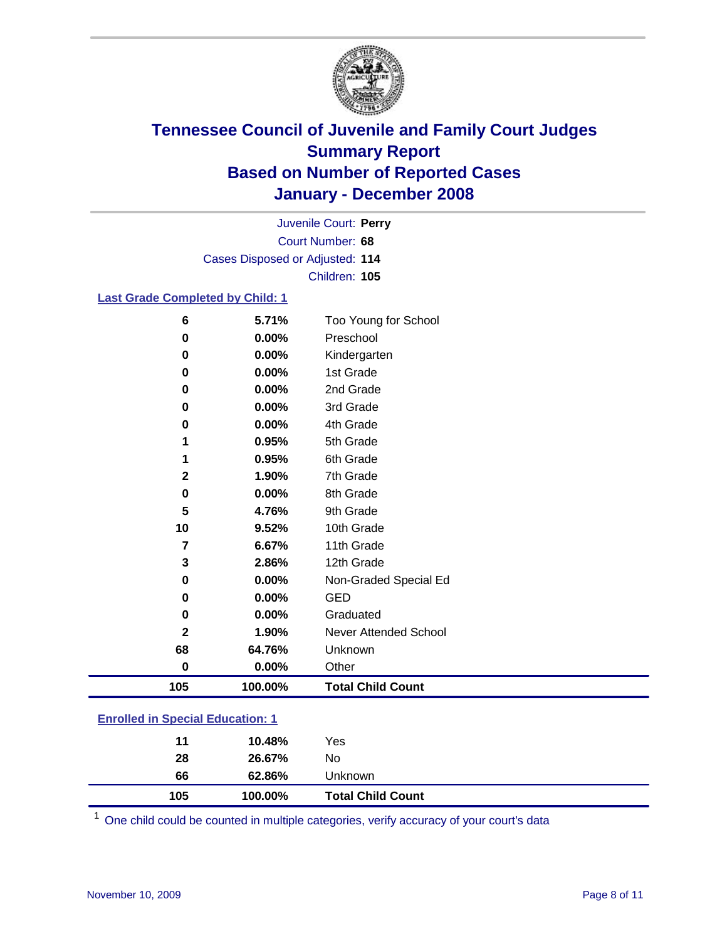

Court Number: **68** Juvenile Court: **Perry** Cases Disposed or Adjusted: **114** Children: **105**

#### **Last Grade Completed by Child: 1**

| 105          | 100.00% | <b>Total Child Count</b> |
|--------------|---------|--------------------------|
| $\bf{0}$     | 0.00%   | Other                    |
| 68           | 64.76%  | Unknown                  |
| $\mathbf{2}$ | 1.90%   | Never Attended School    |
| 0            | 0.00%   | Graduated                |
| 0            | 0.00%   | <b>GED</b>               |
| $\bf{0}$     | 0.00%   | Non-Graded Special Ed    |
| 3            | 2.86%   | 12th Grade               |
| 7            | 6.67%   | 11th Grade               |
| 10           | 9.52%   | 10th Grade               |
| 5            | 4.76%   | 9th Grade                |
| 0            | 0.00%   | 8th Grade                |
| $\mathbf 2$  | 1.90%   | 7th Grade                |
| 1            | 0.95%   | 6th Grade                |
| 1            | 0.95%   | 5th Grade                |
| 0            | 0.00%   | 4th Grade                |
| $\bf{0}$     | 0.00%   | 3rd Grade                |
| $\bf{0}$     | 0.00%   | 2nd Grade                |
| 0            | 0.00%   | 1st Grade                |
| 0            | 0.00%   | Kindergarten             |
| 0            | 0.00%   | Preschool                |
| 6            | 5.71%   | Too Young for School     |

### **Enrolled in Special Education: 1**

| 66<br>105 | 62.86%<br>100.00% | Unknown<br><b>Total Child Count</b> |  |
|-----------|-------------------|-------------------------------------|--|
| 28        | 26.67%            | No                                  |  |
| 11        | 10.48%            | Yes                                 |  |

One child could be counted in multiple categories, verify accuracy of your court's data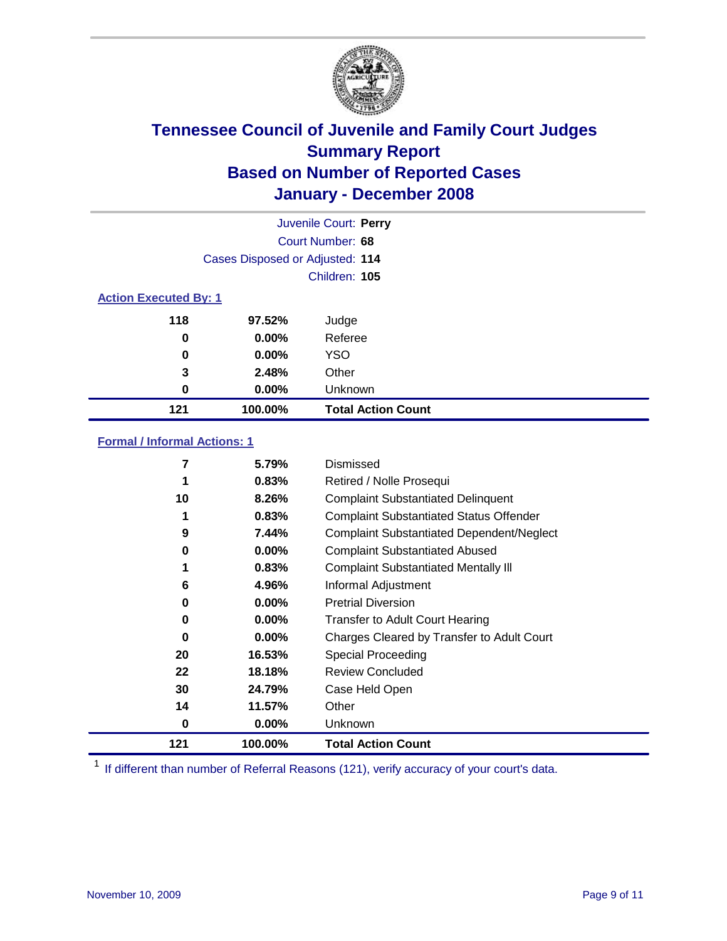

|                              |                                 | Juvenile Court: Perry     |
|------------------------------|---------------------------------|---------------------------|
|                              |                                 | Court Number: 68          |
|                              | Cases Disposed or Adjusted: 114 |                           |
|                              |                                 | Children: 105             |
| <b>Action Executed By: 1</b> |                                 |                           |
| 118                          | 97.52%                          | Judge                     |
| 0                            | $0.00\%$                        | Referee                   |
| 0                            | 0.00%                           | <b>YSO</b>                |
| 3                            | 2.48%                           | Other                     |
| 0                            | $0.00\%$                        | Unknown                   |
| 121                          | 100.00%                         | <b>Total Action Count</b> |

### **Formal / Informal Actions: 1**

| 7   | 5.79%    | Dismissed                                        |
|-----|----------|--------------------------------------------------|
| 1   | 0.83%    | Retired / Nolle Prosequi                         |
| 10  | 8.26%    | <b>Complaint Substantiated Delinquent</b>        |
|     | 0.83%    | <b>Complaint Substantiated Status Offender</b>   |
| 9   | 7.44%    | <b>Complaint Substantiated Dependent/Neglect</b> |
| 0   | $0.00\%$ | <b>Complaint Substantiated Abused</b>            |
| 1   | 0.83%    | <b>Complaint Substantiated Mentally III</b>      |
| 6   | 4.96%    | Informal Adjustment                              |
| 0   | $0.00\%$ | <b>Pretrial Diversion</b>                        |
| 0   | $0.00\%$ | <b>Transfer to Adult Court Hearing</b>           |
| 0   | $0.00\%$ | Charges Cleared by Transfer to Adult Court       |
| 20  | 16.53%   | Special Proceeding                               |
| 22  | 18.18%   | <b>Review Concluded</b>                          |
| 30  | 24.79%   | Case Held Open                                   |
| 14  | 11.57%   | Other                                            |
| 0   | $0.00\%$ | <b>Unknown</b>                                   |
| 121 | 100.00%  | Total Action Count                               |

<sup>1</sup> If different than number of Referral Reasons (121), verify accuracy of your court's data.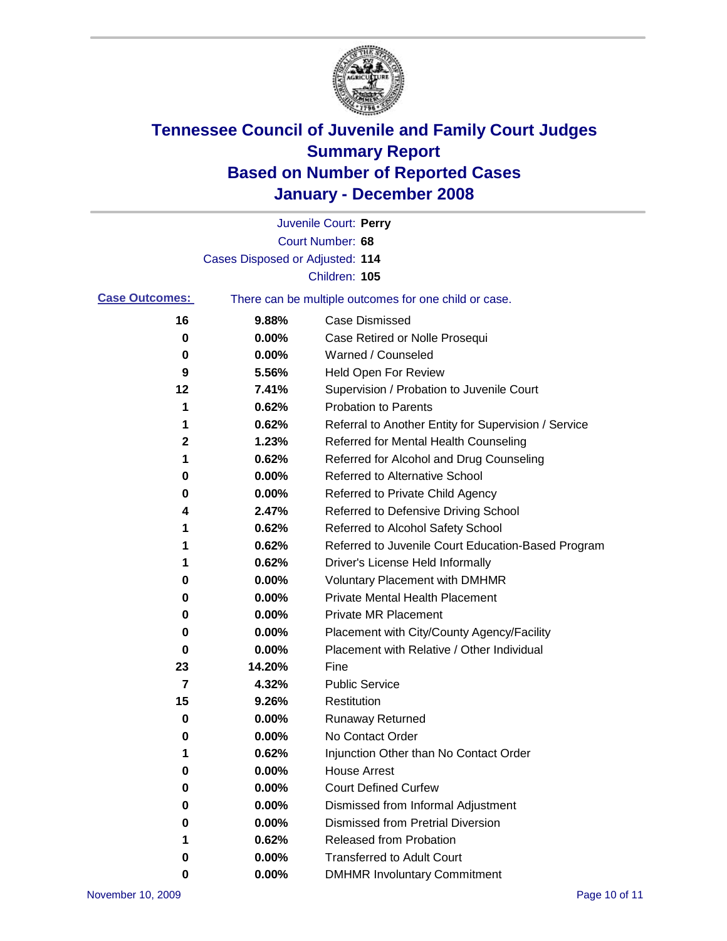

|                       |                                 | Juvenile Court: Perry                                 |
|-----------------------|---------------------------------|-------------------------------------------------------|
|                       |                                 | Court Number: 68                                      |
|                       | Cases Disposed or Adjusted: 114 |                                                       |
|                       |                                 | Children: 105                                         |
| <b>Case Outcomes:</b> |                                 | There can be multiple outcomes for one child or case. |
| 16                    | 9.88%                           | <b>Case Dismissed</b>                                 |
| 0                     | 0.00%                           | Case Retired or Nolle Prosequi                        |
| 0                     | 0.00%                           | Warned / Counseled                                    |
| 9                     | 5.56%                           | Held Open For Review                                  |
| 12                    | 7.41%                           | Supervision / Probation to Juvenile Court             |
| 1                     | 0.62%                           | <b>Probation to Parents</b>                           |
| 1                     | 0.62%                           | Referral to Another Entity for Supervision / Service  |
| $\mathbf 2$           | 1.23%                           | Referred for Mental Health Counseling                 |
| 1                     | 0.62%                           | Referred for Alcohol and Drug Counseling              |
| 0                     | 0.00%                           | Referred to Alternative School                        |
| 0                     | 0.00%                           | Referred to Private Child Agency                      |
| 4                     | 2.47%                           | Referred to Defensive Driving School                  |
| 1                     | 0.62%                           | Referred to Alcohol Safety School                     |
| 1                     | 0.62%                           | Referred to Juvenile Court Education-Based Program    |
| 1                     | 0.62%                           | Driver's License Held Informally                      |
| 0                     | 0.00%                           | <b>Voluntary Placement with DMHMR</b>                 |
| 0                     | 0.00%                           | <b>Private Mental Health Placement</b>                |
| 0                     | 0.00%                           | <b>Private MR Placement</b>                           |
| 0                     | 0.00%                           | Placement with City/County Agency/Facility            |
| 0                     | 0.00%                           | Placement with Relative / Other Individual            |
| 23                    | 14.20%                          | Fine                                                  |
| 7                     | 4.32%                           | <b>Public Service</b>                                 |
| 15                    | 9.26%                           | Restitution                                           |
| 0                     | 0.00%                           | <b>Runaway Returned</b>                               |
| 0                     | 0.00%                           | No Contact Order                                      |
| 1                     | 0.62%                           | Injunction Other than No Contact Order                |
| 0                     | 0.00%                           | <b>House Arrest</b>                                   |
| 0                     | 0.00%                           | <b>Court Defined Curfew</b>                           |
| 0                     | 0.00%                           | Dismissed from Informal Adjustment                    |
| 0                     | 0.00%                           | <b>Dismissed from Pretrial Diversion</b>              |
| 1                     | 0.62%                           | Released from Probation                               |
| 0                     | 0.00%                           | <b>Transferred to Adult Court</b>                     |
| 0                     | 0.00%                           | <b>DMHMR Involuntary Commitment</b>                   |